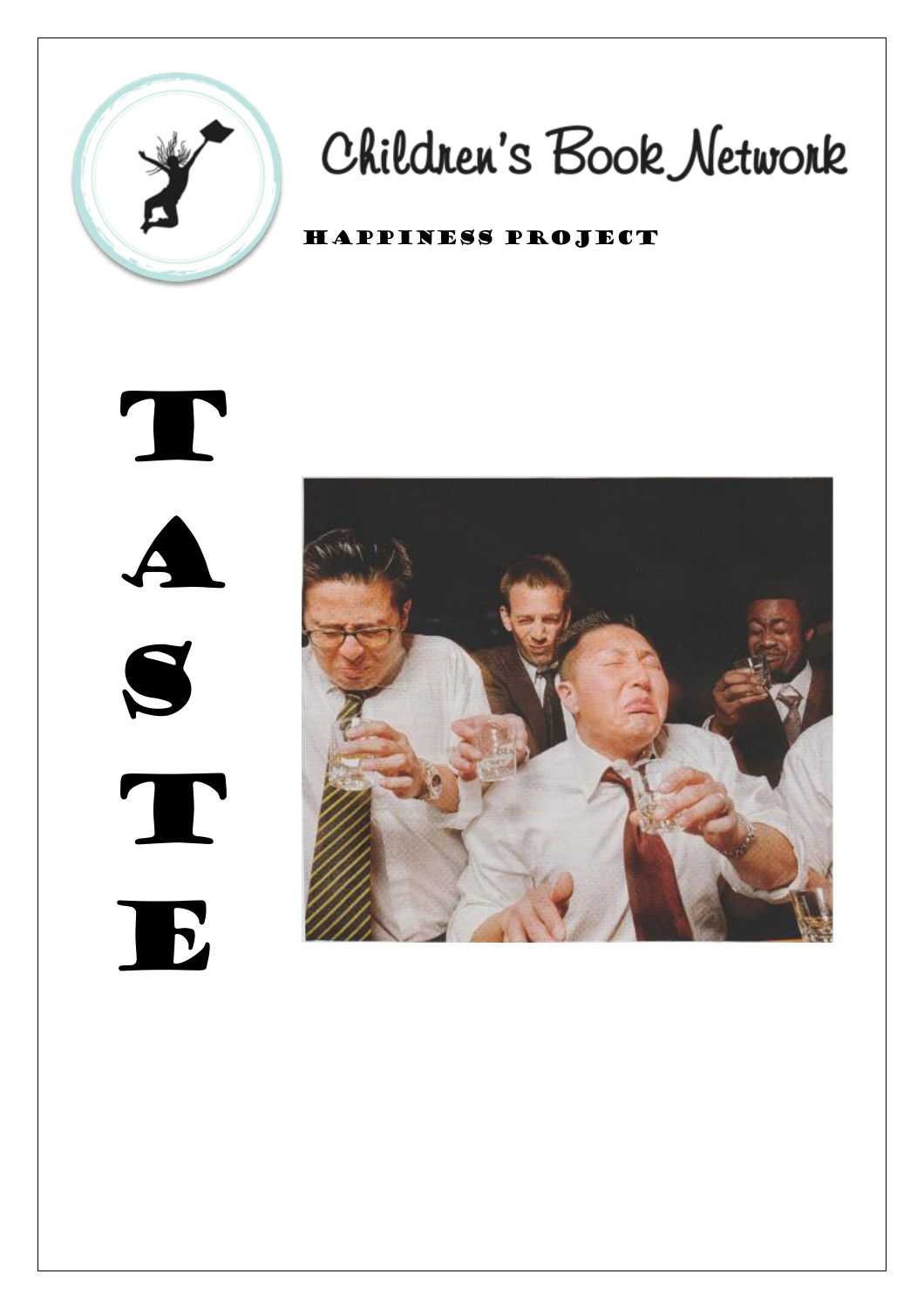

# Children's Book Network

## Happiness Project



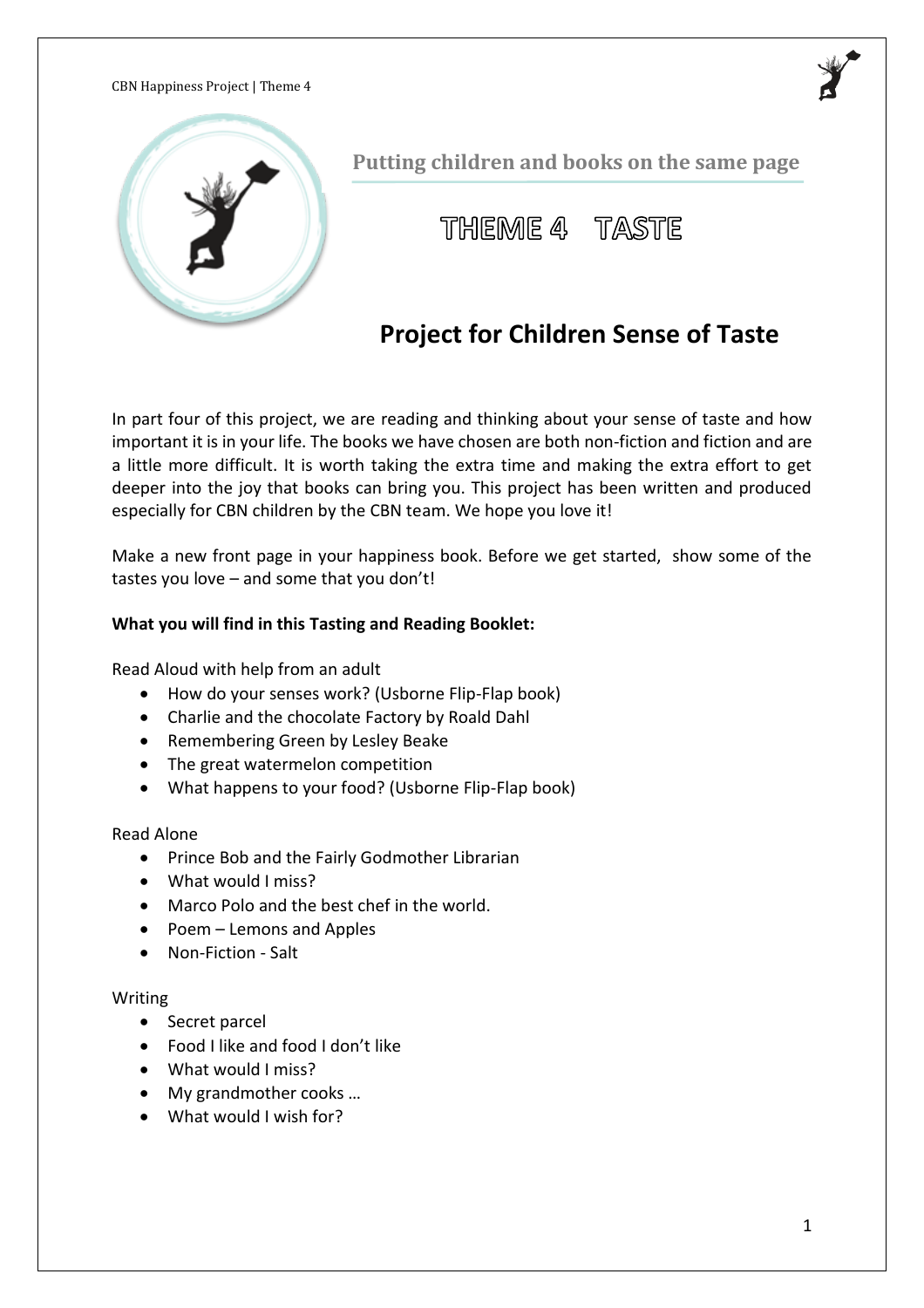

**Putting children and books on the same page**



# **Project for Children Sense of Taste**

In part four of this project, we are reading and thinking about your sense of taste and how important it is in your life. The books we have chosen are both non-fiction and fiction and are a little more difficult. It is worth taking the extra time and making the extra effort to get deeper into the joy that books can bring you. This project has been written and produced especially for CBN children by the CBN team. We hope you love it!

Make a new front page in your happiness book. Before we get started, show some of the tastes you love – and some that you don't!

#### **What you will find in this Tasting and Reading Booklet:**

Read Aloud with help from an adult

- How do your senses work? (Usborne Flip-Flap book)
- Charlie and the chocolate Factory by Roald Dahl
- Remembering Green by Lesley Beake
- The great watermelon competition
- What happens to your food? (Usborne Flip-Flap book)

Read Alone

- Prince Bob and the Fairly Godmother Librarian
- What would I miss?
- Marco Polo and the best chef in the world.
- Poem Lemons and Apples
- Non-Fiction Salt

#### Writing

- Secret parcel
- Food I like and food I don't like
- What would I miss?
- My grandmother cooks ...
- What would I wish for?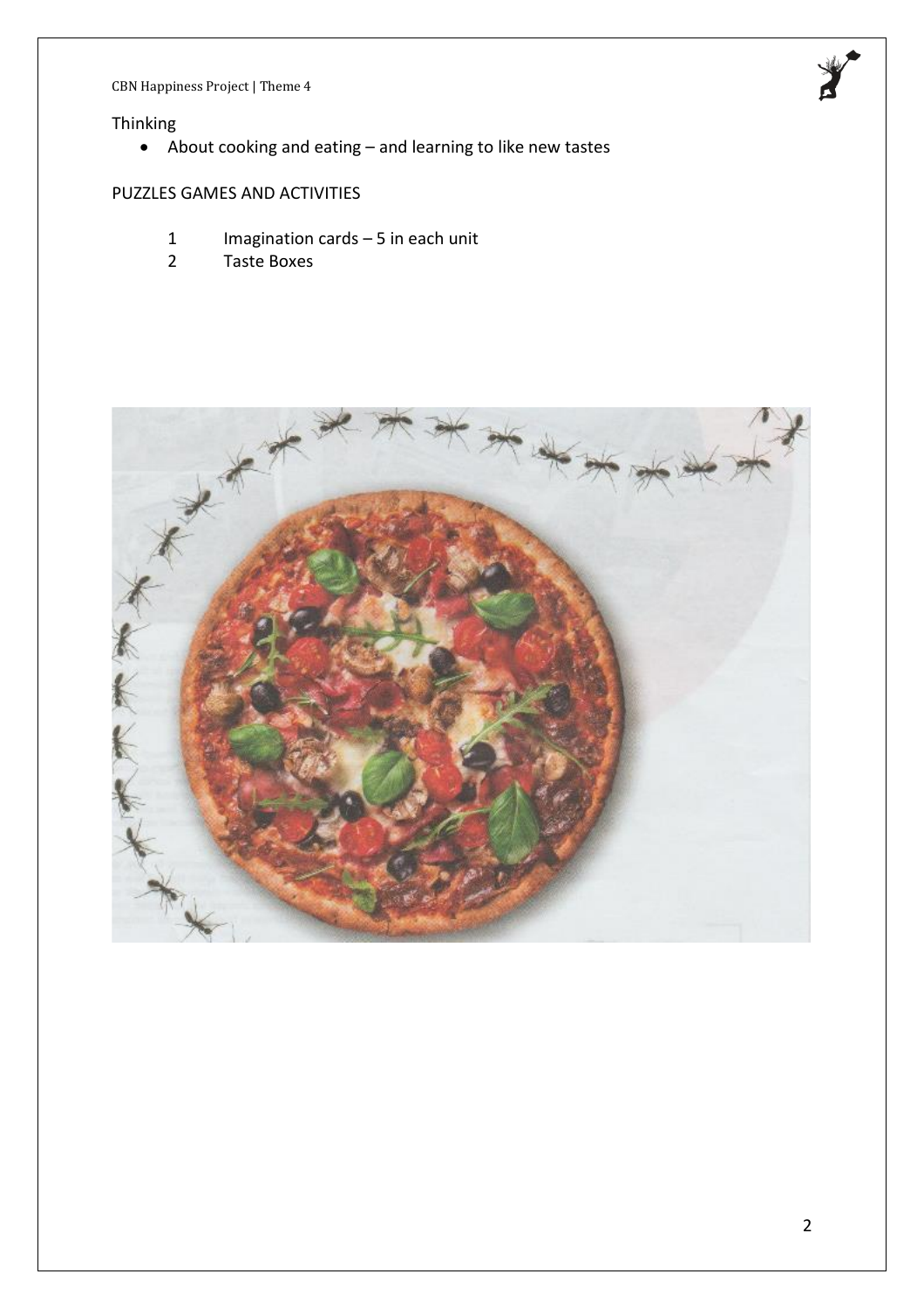

#### Thinking

• About cooking and eating – and learning to like new tastes

#### PUZZLES GAMES AND ACTIVITIES

- 1 Imagination cards 5 in each unit<br>2 Taste Boxes
- 2 Taste Boxes

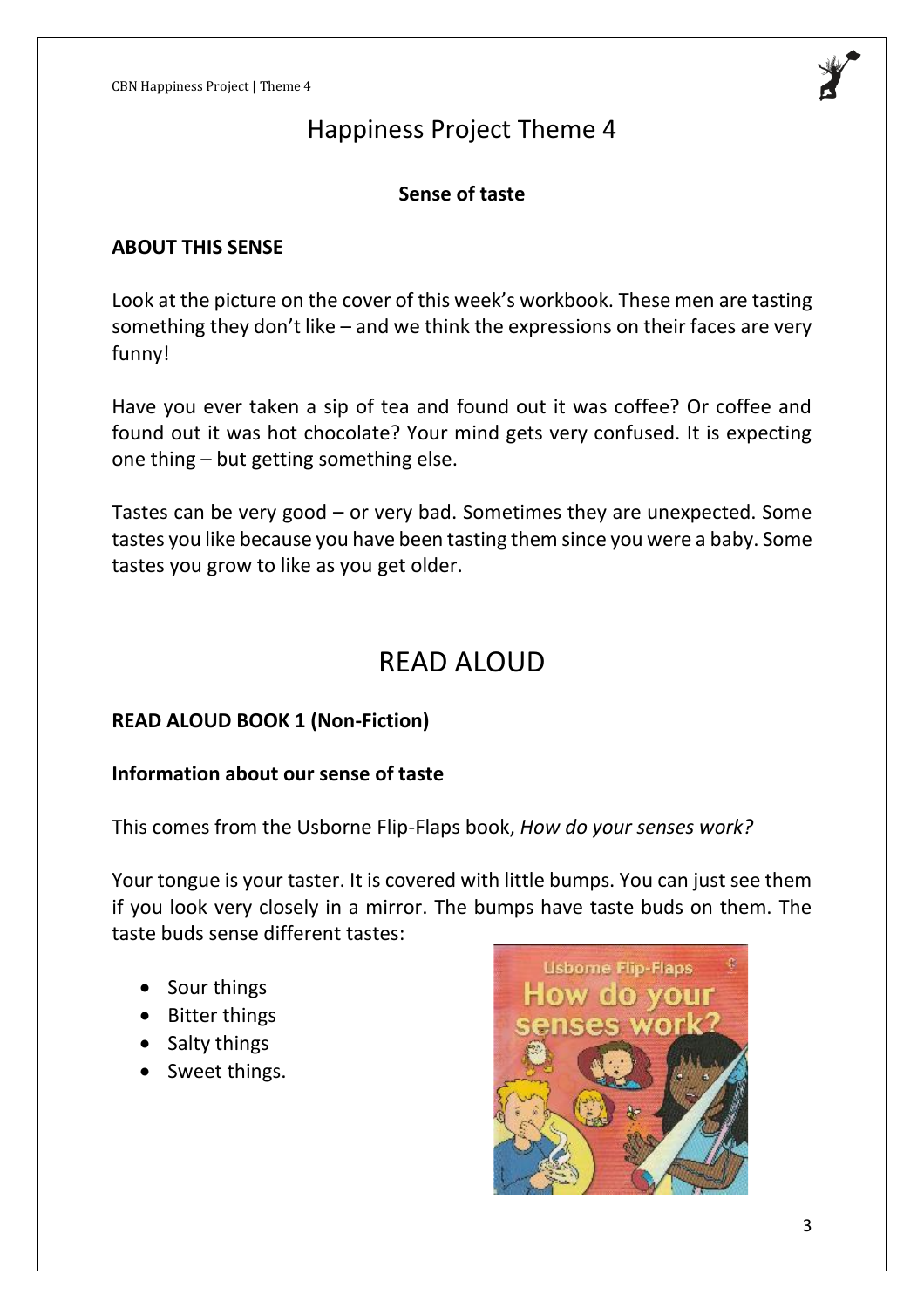

#### **Sense of taste**

#### **ABOUT THIS SENSE**

Look at the picture on the cover of this week's workbook. These men are tasting something they don't like – and we think the expressions on their faces are very funny!

Have you ever taken a sip of tea and found out it was coffee? Or coffee and found out it was hot chocolate? Your mind gets very confused. It is expecting one thing – but getting something else.

Tastes can be very good – or very bad. Sometimes they are unexpected. Some tastes you like because you have been tasting them since you were a baby. Some tastes you grow to like as you get older.

# READ ALOUD

#### **READ ALOUD BOOK 1 (Non-Fiction)**

#### **Information about our sense of taste**

This comes from the Usborne Flip-Flaps book, *How do your senses work?*

Your tongue is your taster. It is covered with little bumps. You can just see them if you look very closely in a mirror. The bumps have taste buds on them. The taste buds sense different tastes:

- Sour things
- Bitter things
- Salty things
- Sweet things.

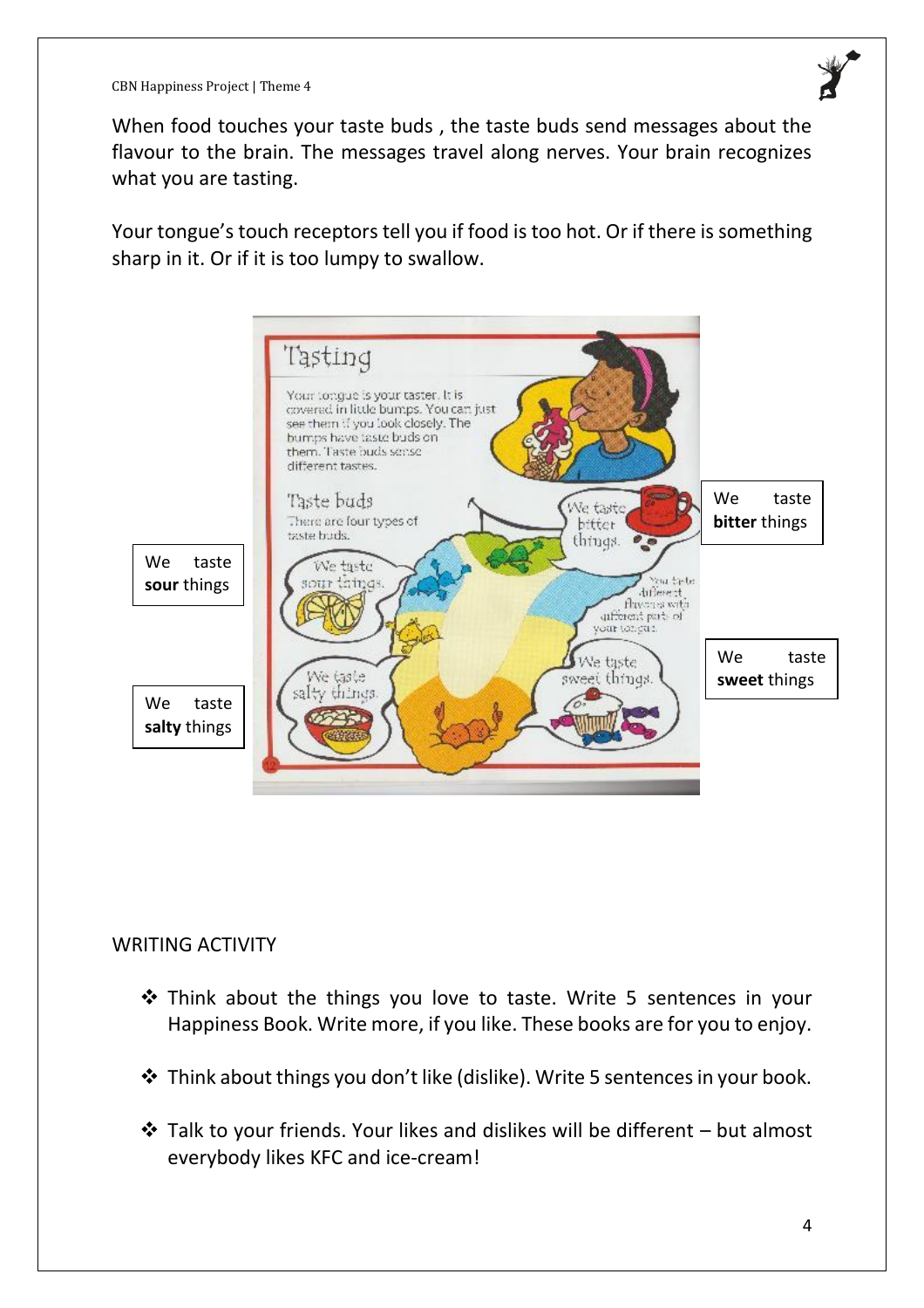

When food touches your taste buds , the taste buds send messages about the flavour to the brain. The messages travel along nerves. Your brain recognizes what you are tasting.

Your tongue's touch receptors tell you if food is too hot. Or if there is something sharp in it. Or if it is too lumpy to swallow.



#### WRITING ACTIVITY

- ❖ Think about the things you love to taste. Write 5 sentences in your Happiness Book. Write more, if you like. These books are for you to enjoy.
- ❖ Think about things you don't like (dislike). Write 5 sentences in your book.
- $\triangle$  Talk to your friends. Your likes and dislikes will be different but almost everybody likes KFC and ice-cream!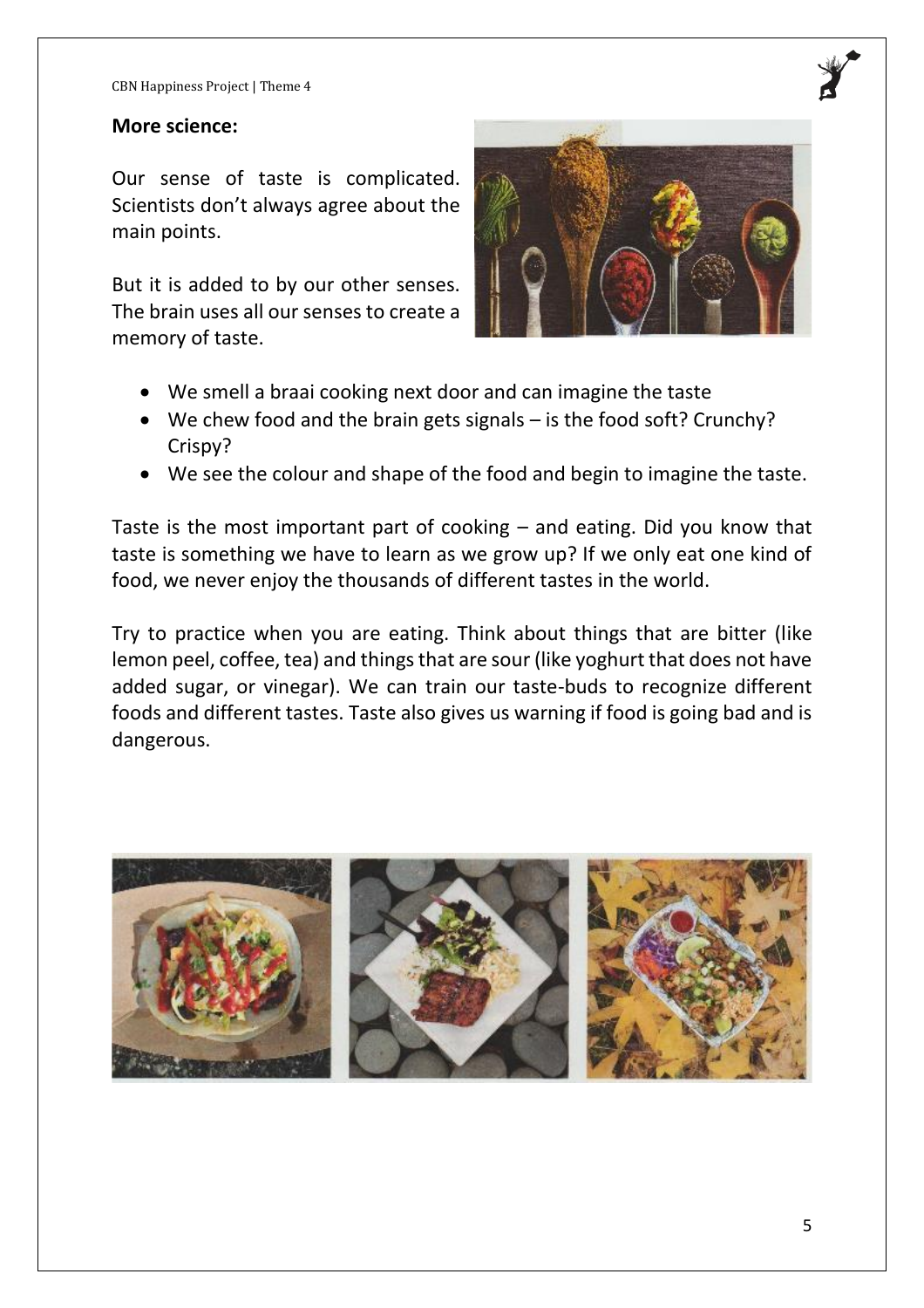#### **More science:**

Our sense of taste is complicated. Scientists don't always agree about the main points.

But it is added to by our other senses. The brain uses all our senses to create a memory of taste.



- We smell a braai cooking next door and can imagine the taste
- We chew food and the brain gets signals is the food soft? Crunchy? Crispy?
- We see the colour and shape of the food and begin to imagine the taste.

Taste is the most important part of cooking – and eating. Did you know that taste is something we have to learn as we grow up? If we only eat one kind of food, we never enjoy the thousands of different tastes in the world.

Try to practice when you are eating. Think about things that are bitter (like lemon peel, coffee, tea) and things that are sour (like yoghurt that does not have added sugar, or vinegar). We can train our taste-buds to recognize different foods and different tastes. Taste also gives us warning if food is going bad and is dangerous.

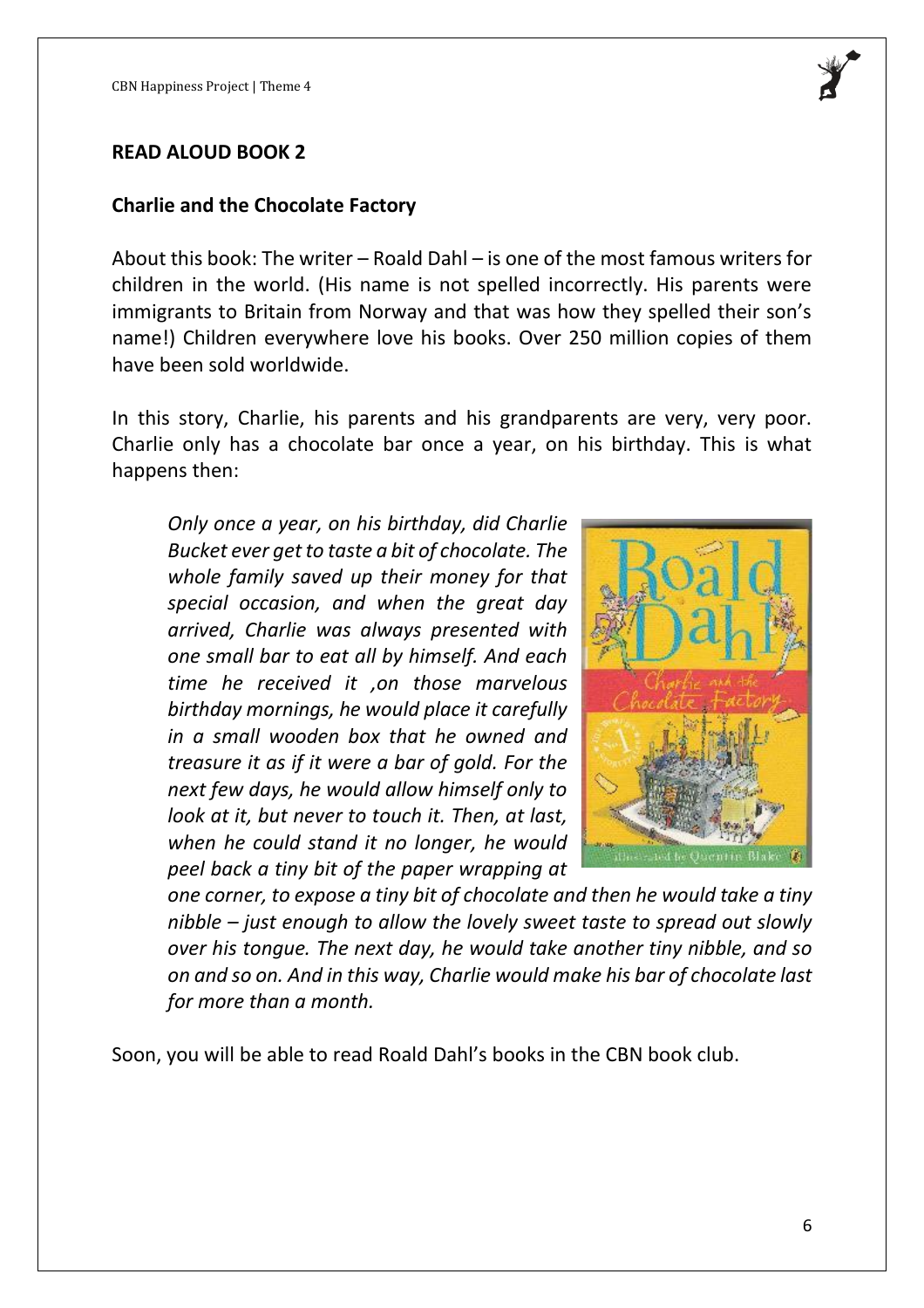

#### **READ ALOUD BOOK 2**

#### **Charlie and the Chocolate Factory**

About this book: The writer – Roald Dahl – is one of the most famous writers for children in the world. (His name is not spelled incorrectly. His parents were immigrants to Britain from Norway and that was how they spelled their son's name!) Children everywhere love his books. Over 250 million copies of them have been sold worldwide.

In this story, Charlie, his parents and his grandparents are very, very poor. Charlie only has a chocolate bar once a year, on his birthday. This is what happens then:

*Only once a year, on his birthday, did Charlie Bucket ever get to taste a bit of chocolate. The whole family saved up their money for that special occasion, and when the great day arrived, Charlie was always presented with one small bar to eat all by himself. And each time he received it ,on those marvelous birthday mornings, he would place it carefully in a small wooden box that he owned and treasure it as if it were a bar of gold. For the next few days, he would allow himself only to look at it, but never to touch it. Then, at last, when he could stand it no longer, he would peel back a tiny bit of the paper wrapping at* 



*one corner, to expose a tiny bit of chocolate and then he would take a tiny nibble – just enough to allow the lovely sweet taste to spread out slowly over his tongue. The next day, he would take another tiny nibble, and so on and so on. And in this way, Charlie would make his bar of chocolate last for more than a month.*

Soon, you will be able to read Roald Dahl's books in the CBN book club.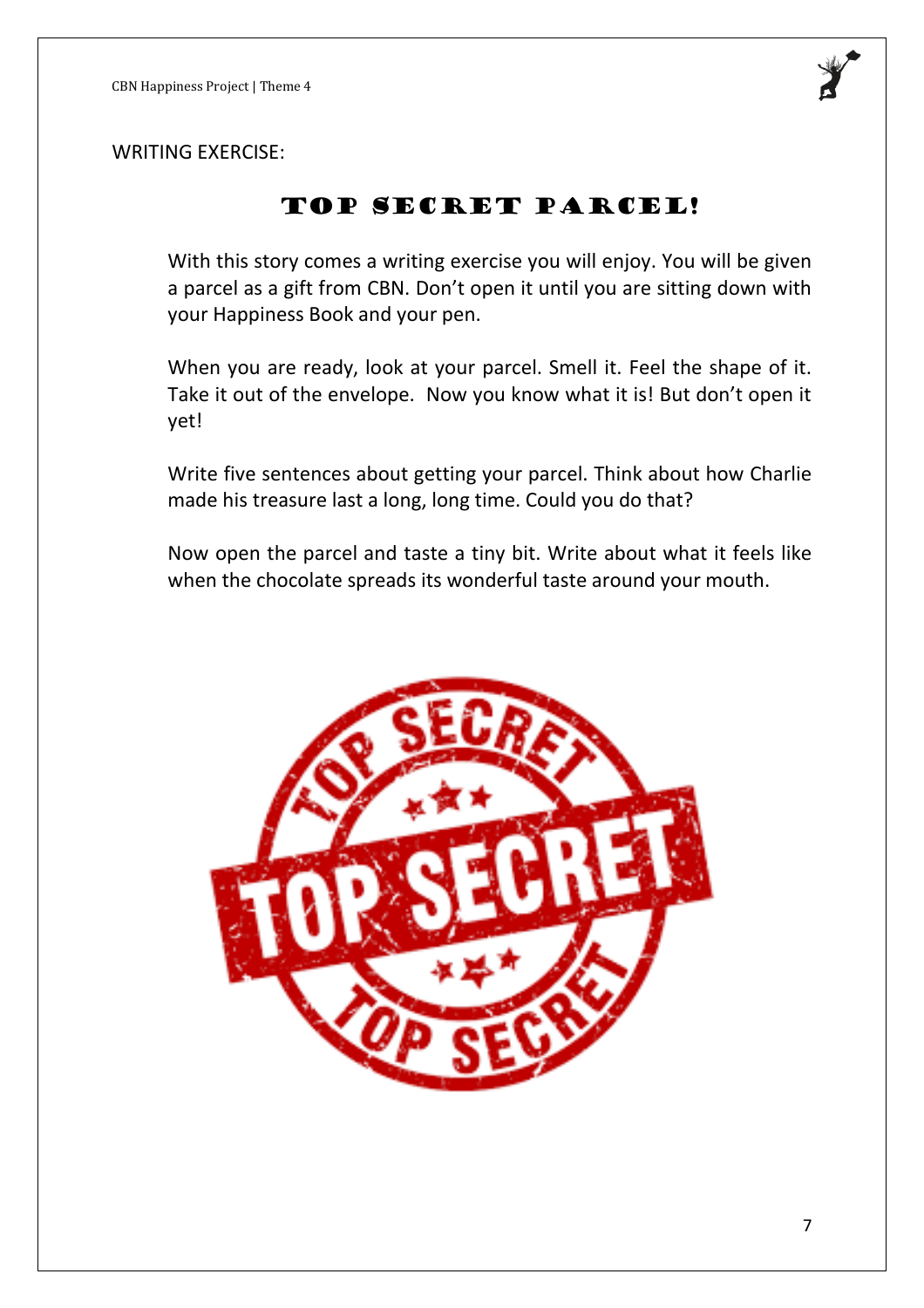

WRITING EXERCISE:

## TOP SECRET PARCEL!

With this story comes a writing exercise you will enjoy. You will be given a parcel as a gift from CBN. Don't open it until you are sitting down with your Happiness Book and your pen.

When you are ready, look at your parcel. Smell it. Feel the shape of it. Take it out of the envelope. Now you know what it is! But don't open it yet!

Write five sentences about getting your parcel. Think about how Charlie made his treasure last a long, long time. Could you do that?

Now open the parcel and taste a tiny bit. Write about what it feels like when the chocolate spreads its wonderful taste around your mouth.

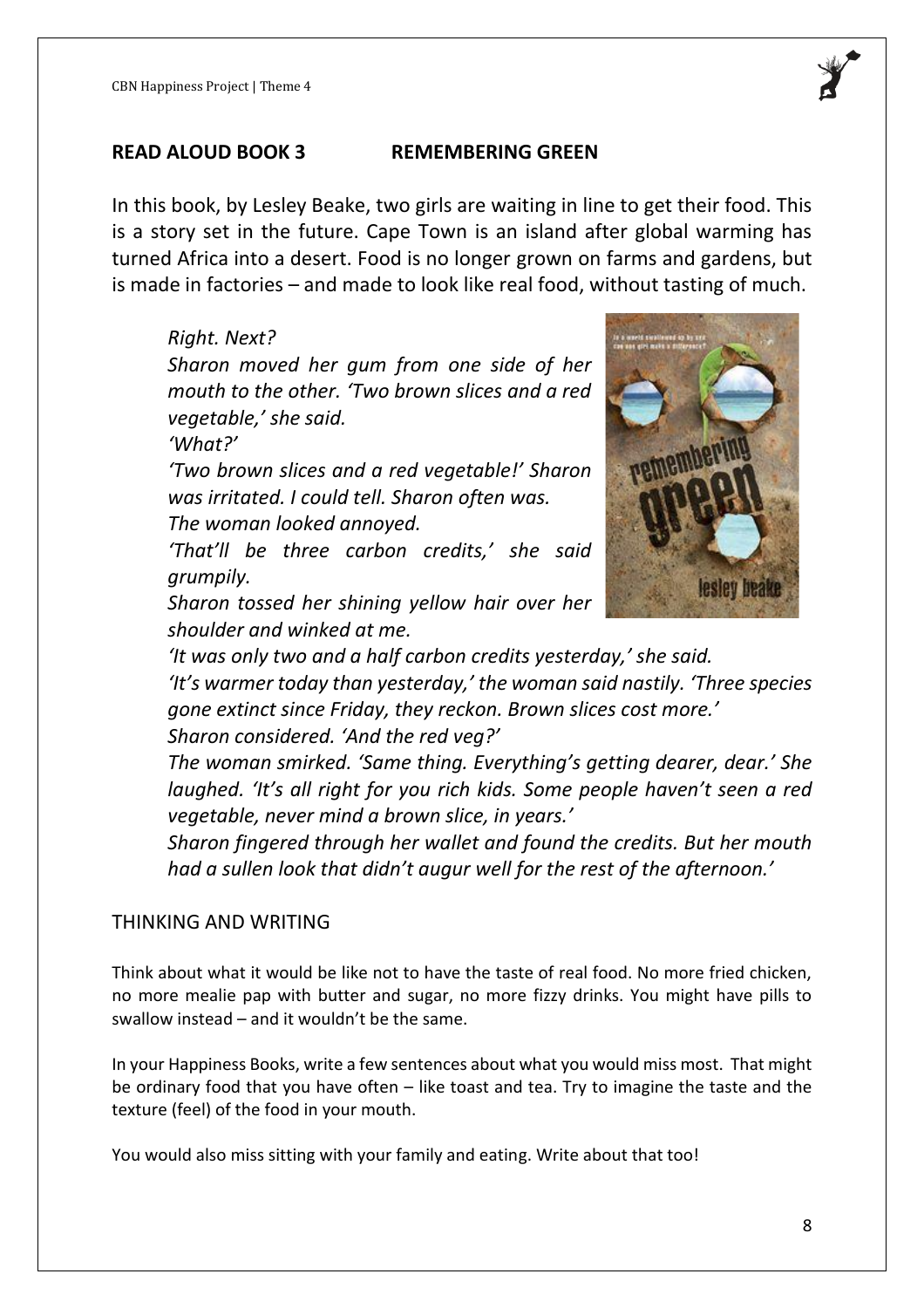

#### **READ ALOUD BOOK 3 REMEMBERING GREEN**

In this book, by Lesley Beake, two girls are waiting in line to get their food. This is a story set in the future. Cape Town is an island after global warming has turned Africa into a desert. Food is no longer grown on farms and gardens, but is made in factories – and made to look like real food, without tasting of much.

## *Right. Next? Sharon moved her gum from one side of her mouth to the other. 'Two brown slices and a red vegetable,' she said.*

*'What?'*

*'Two brown slices and a red vegetable!' Sharon was irritated. I could tell. Sharon often was. The woman looked annoyed.*

*'That'll be three carbon credits,' she said grumpily.*



*Sharon tossed her shining yellow hair over her shoulder and winked at me.*

*'It was only two and a half carbon credits yesterday,' she said. 'It's warmer today than yesterday,' the woman said nastily. 'Three species gone extinct since Friday, they reckon. Brown slices cost more.' Sharon considered. 'And the red veg?'*

*The woman smirked. 'Same thing. Everything's getting dearer, dear.' She laughed. 'It's all right for you rich kids. Some people haven't seen a red vegetable, never mind a brown slice, in years.'*

*Sharon fingered through her wallet and found the credits. But her mouth had a sullen look that didn't augur well for the rest of the afternoon.'*

#### THINKING AND WRITING

Think about what it would be like not to have the taste of real food. No more fried chicken, no more mealie pap with butter and sugar, no more fizzy drinks. You might have pills to swallow instead – and it wouldn't be the same.

In your Happiness Books, write a few sentences about what you would miss most. That might be ordinary food that you have often – like toast and tea. Try to imagine the taste and the texture (feel) of the food in your mouth.

You would also miss sitting with your family and eating. Write about that too!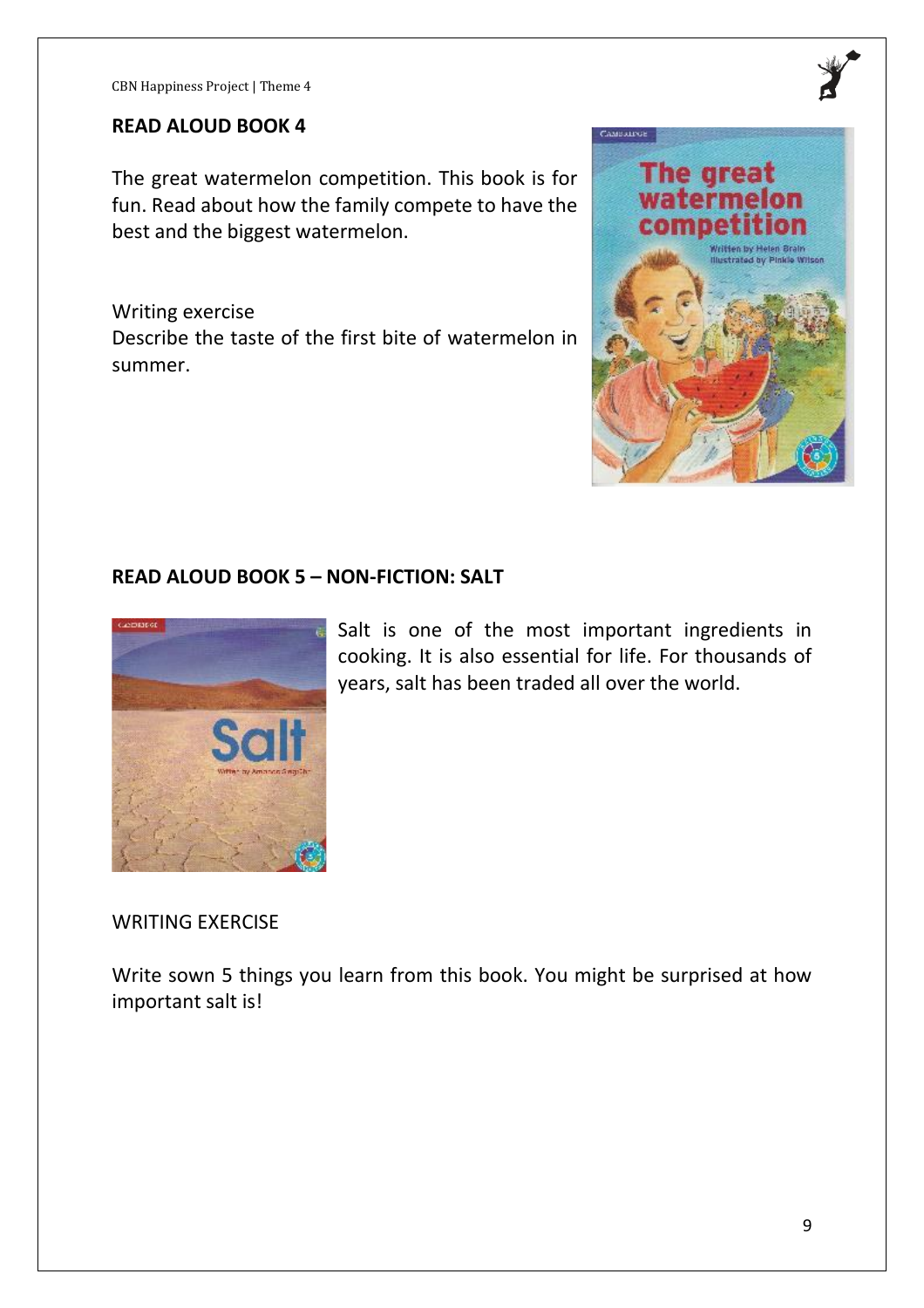#### **READ ALOUD BOOK 4**

The great watermelon competition. This book is for fun. Read about how the family compete to have the best and the biggest watermelon.

Writing exercise Describe the taste of the first bite of watermelon in summer.



#### **READ ALOUD BOOK 5 – NON-FICTION: SALT**



Salt is one of the most important ingredients in cooking. It is also essential for life. For thousands of years, salt has been traded all over the world.

#### WRITING EXERCISE

Write sown 5 things you learn from this book. You might be surprised at how important salt is!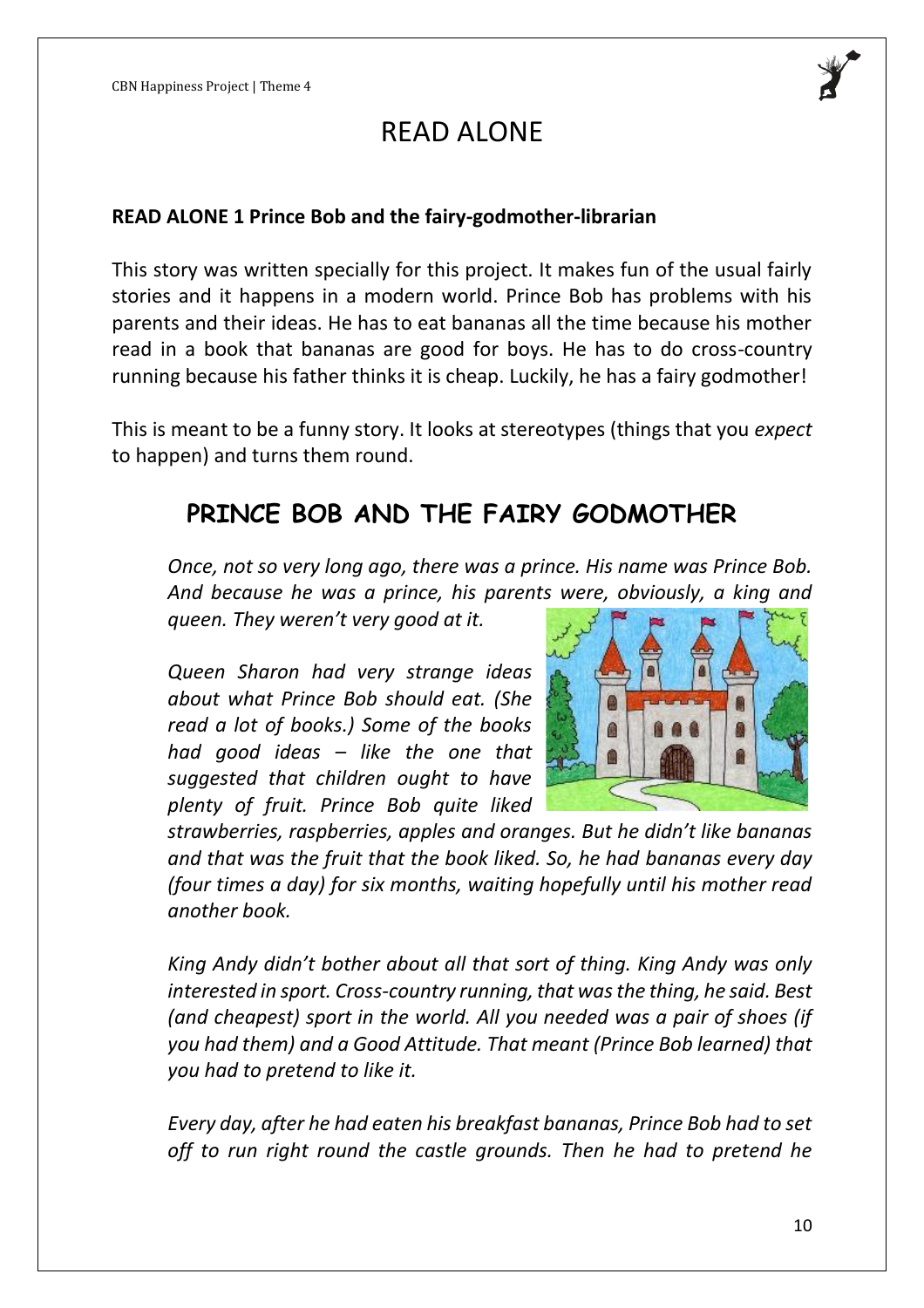

#### **READ ALONE 1 Prince Bob and the fairy-godmother-librarian**

This story was written specially for this project. It makes fun of the usual fairly stories and it happens in a modern world. Prince Bob has problems with his parents and their ideas. He has to eat bananas all the time because his mother read in a book that bananas are good for boys. He has to do cross-country running because his father thinks it is cheap. Luckily, he has a fairy godmother!

This is meant to be a funny story. It looks at stereotypes (things that you *expect* to happen) and turns them round.

# **PRINCE BOB AND THE FAIRY GODMOTHER**

*Once, not so very long ago, there was a prince. His name was Prince Bob. And because he was a prince, his parents were, obviously, a king and* 

*queen. They weren't very good at it.*

*Queen Sharon had very strange ideas about what Prince Bob should eat. (She read a lot of books.) Some of the books had good ideas – like the one that suggested that children ought to have plenty of fruit. Prince Bob quite liked* 



*strawberries, raspberries, apples and oranges. But he didn't like bananas and that was the fruit that the book liked. So, he had bananas every day (four times a day) for six months, waiting hopefully until his mother read another book.*

*King Andy didn't bother about all that sort of thing. King Andy was only interested in sport. Cross-country running, that was the thing, he said. Best (and cheapest) sport in the world. All you needed was a pair of shoes (if you had them) and a Good Attitude. That meant (Prince Bob learned) that you had to pretend to like it.*

*Every day, after he had eaten his breakfast bananas, Prince Bob had to set off to run right round the castle grounds. Then he had to pretend he*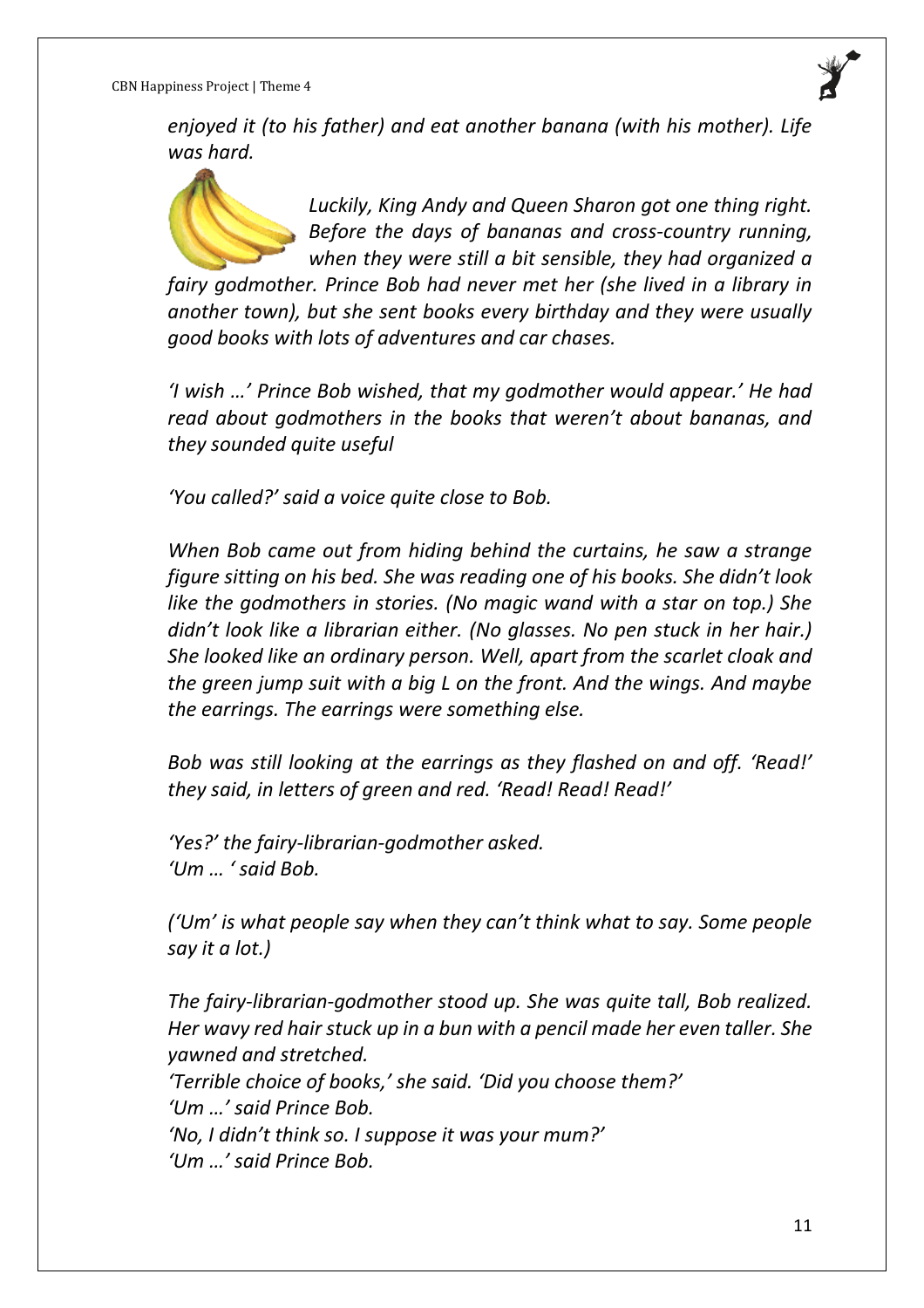*enjoyed it (to his father) and eat another banana (with his mother). Life was hard.*



*Luckily, King Andy and Queen Sharon got one thing right. Before the days of bananas and cross-country running, when they were still a bit sensible, they had organized a* 

*fairy godmother. Prince Bob had never met her (she lived in a library in another town), but she sent books every birthday and they were usually good books with lots of adventures and car chases.*

*'I wish …' Prince Bob wished, that my godmother would appear.' He had read about godmothers in the books that weren't about bananas, and they sounded quite useful*

*'You called?' said a voice quite close to Bob.*

*When Bob came out from hiding behind the curtains, he saw a strange figure sitting on his bed. She was reading one of his books. She didn't look like the godmothers in stories. (No magic wand with a star on top.) She didn't look like a librarian either. (No glasses. No pen stuck in her hair.) She looked like an ordinary person. Well, apart from the scarlet cloak and the green jump suit with a big L on the front. And the wings. And maybe the earrings. The earrings were something else.* 

*Bob was still looking at the earrings as they flashed on and off. 'Read!' they said, in letters of green and red. 'Read! Read! Read!'*

*'Yes?' the fairy-librarian-godmother asked. 'Um … ' said Bob.* 

*('Um' is what people say when they can't think what to say. Some people say it a lot.)*

*The fairy-librarian-godmother stood up. She was quite tall, Bob realized. Her wavy red hair stuck up in a bun with a pencil made her even taller. She yawned and stretched. 'Terrible choice of books,' she said. 'Did you choose them?' 'Um …' said Prince Bob. 'No, I didn't think so. I suppose it was your mum?' 'Um …' said Prince Bob.*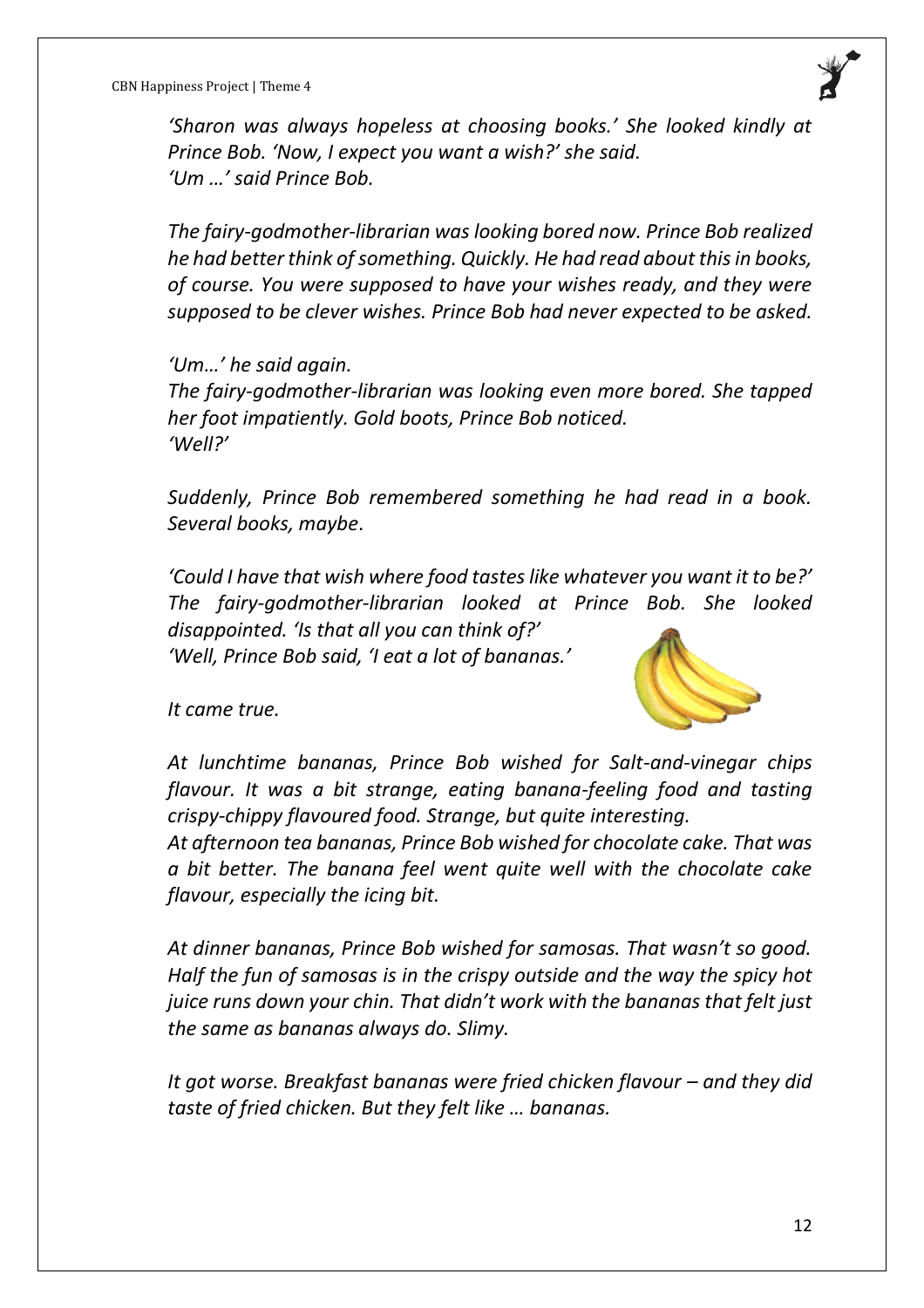

*'Sharon was always hopeless at choosing books.' She looked kindly at Prince Bob. 'Now, I expect you want a wish?' she said. 'Um …' said Prince Bob.*

*The fairy-godmother-librarian was looking bored now. Prince Bob realized he had better think of something. Quickly. He had read about this in books, of course. You were supposed to have your wishes ready, and they were supposed to be clever wishes. Prince Bob had never expected to be asked.* 

*'Um…' he said again. The fairy-godmother-librarian was looking even more bored. She tapped her foot impatiently. Gold boots, Prince Bob noticed. 'Well?'*

*Suddenly, Prince Bob remembered something he had read in a book. Several books, maybe*.

*'Could I have that wish where food tastes like whatever you want it to be?' The fairy-godmother-librarian looked at Prince Bob. She looked disappointed. 'Is that all you can think of?'*

*'Well, Prince Bob said, 'I eat a lot of bananas.'*



*It came true.*

*At lunchtime bananas, Prince Bob wished for Salt-and-vinegar chips flavour. It was a bit strange, eating banana-feeling food and tasting crispy-chippy flavoured food. Strange, but quite interesting.*

*At afternoon tea bananas, Prince Bob wished for chocolate cake. That was a bit better. The banana feel went quite well with the chocolate cake flavour, especially the icing bit.*

*At dinner bananas, Prince Bob wished for samosas. That wasn't so good. Half the fun of samosas is in the crispy outside and the way the spicy hot juice runs down your chin. That didn't work with the bananas that felt just the same as bananas always do. Slimy.*

*It got worse. Breakfast bananas were fried chicken flavour – and they did taste of fried chicken. But they felt like … bananas.*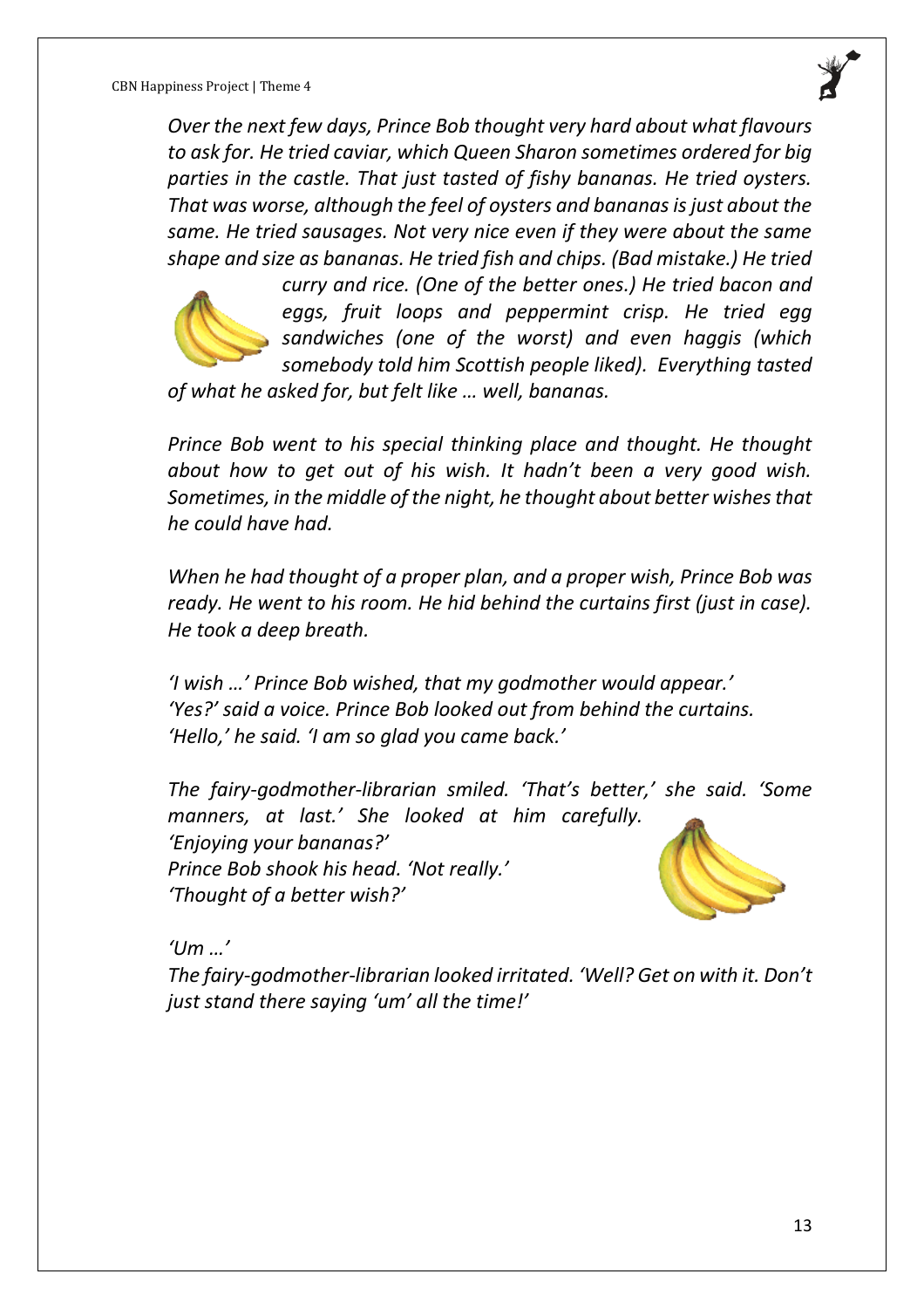*Over the next few days, Prince Bob thought very hard about what flavours to ask for. He tried caviar, which Queen Sharon sometimes ordered for big parties in the castle. That just tasted of fishy bananas. He tried oysters. That was worse, although the feel of oysters and bananas is just about the same. He tried sausages. Not very nice even if they were about the same shape and size as bananas. He tried fish and chips. (Bad mistake.) He tried* 



*curry and rice. (One of the better ones.) He tried bacon and eggs, fruit loops and peppermint crisp. He tried egg sandwiches (one of the worst) and even haggis (which somebody told him Scottish people liked). Everything tasted* 

*of what he asked for, but felt like … well, bananas.*

*Prince Bob went to his special thinking place and thought. He thought about how to get out of his wish. It hadn't been a very good wish. Sometimes, in the middle of the night, he thought about better wishes that he could have had.*

*When he had thought of a proper plan, and a proper wish, Prince Bob was ready. He went to his room. He hid behind the curtains first (just in case). He took a deep breath.*

*'I wish …' Prince Bob wished, that my godmother would appear.' 'Yes?' said a voice. Prince Bob looked out from behind the curtains. 'Hello,' he said. 'I am so glad you came back.'*

*The fairy-godmother-librarian smiled. 'That's better,' she said. 'Some manners, at last.' She looked at him carefully. 'Enjoying your bananas?' Prince Bob shook his head. 'Not really.' 'Thought of a better wish?'*

*'Um …'*

*The fairy-godmother-librarian looked irritated. 'Well? Get on with it. Don't just stand there saying 'um' all the time!'*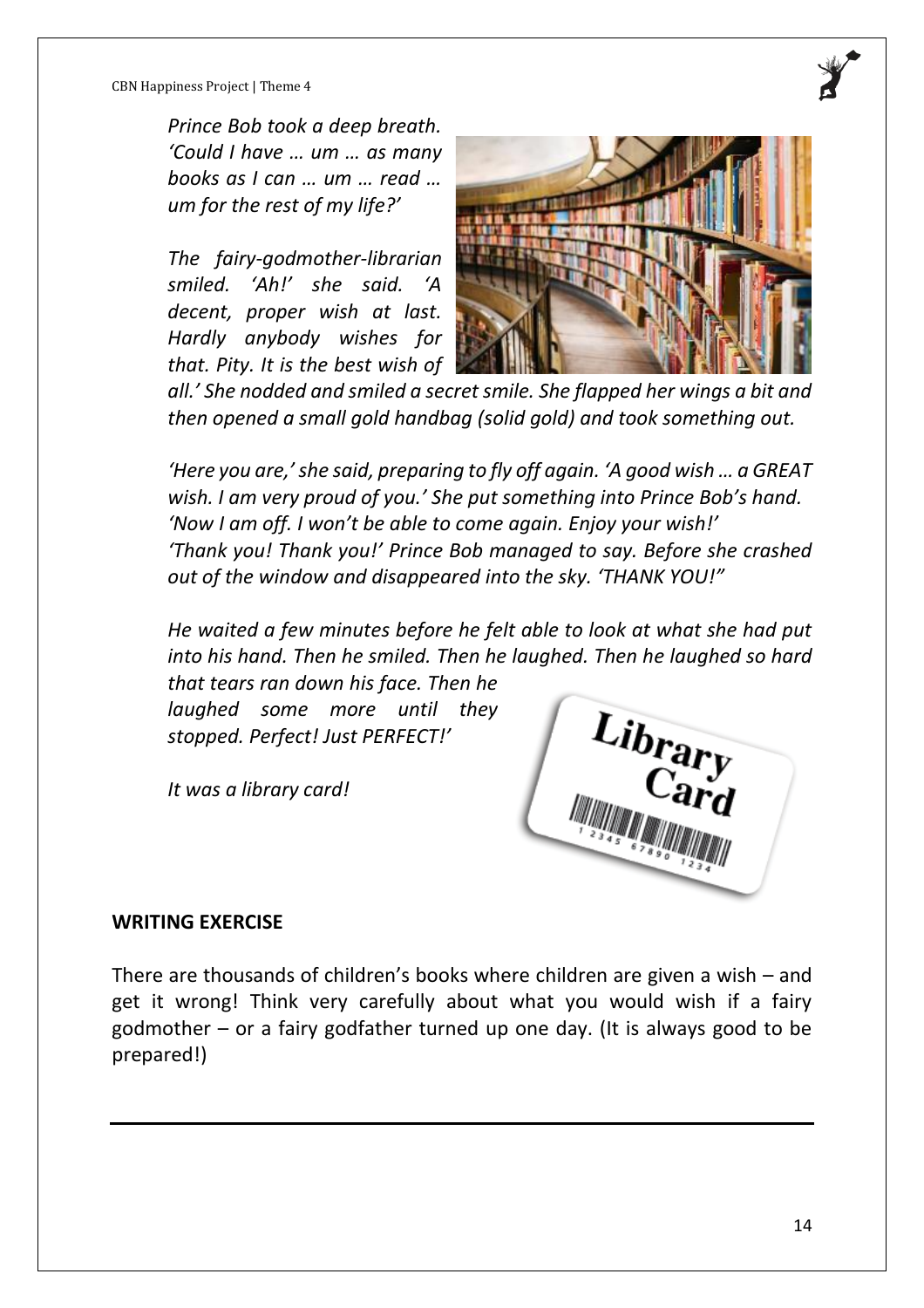*Prince Bob took a deep breath. 'Could I have … um … as many books as I can … um … read … um for the rest of my life?'*

*The fairy-godmother-librarian smiled. 'Ah!' she said. 'A decent, proper wish at last. Hardly anybody wishes for that. Pity. It is the best wish of* 



*all.' She nodded and smiled a secret smile. She flapped her wings a bit and then opened a small gold handbag (solid gold) and took something out.* 

*'Here you are,' she said, preparing to fly off again. 'A good wish … a GREAT wish. I am very proud of you.' She put something into Prince Bob's hand. 'Now I am off. I won't be able to come again. Enjoy your wish!' 'Thank you! Thank you!' Prince Bob managed to say. Before she crashed out of the window and disappeared into the sky. 'THANK YOU!"*

*He waited a few minutes before he felt able to look at what she had put into his hand. Then he smiled. Then he laughed. Then he laughed so hard* 

*that tears ran down his face. Then he laughed some more until they stopped. Perfect! Just PERFECT!'*

*It was a library card!*



#### **WRITING EXERCISE**

There are thousands of children's books where children are given a wish – and get it wrong! Think very carefully about what you would wish if a fairy godmother – or a fairy godfather turned up one day. (It is always good to be prepared!)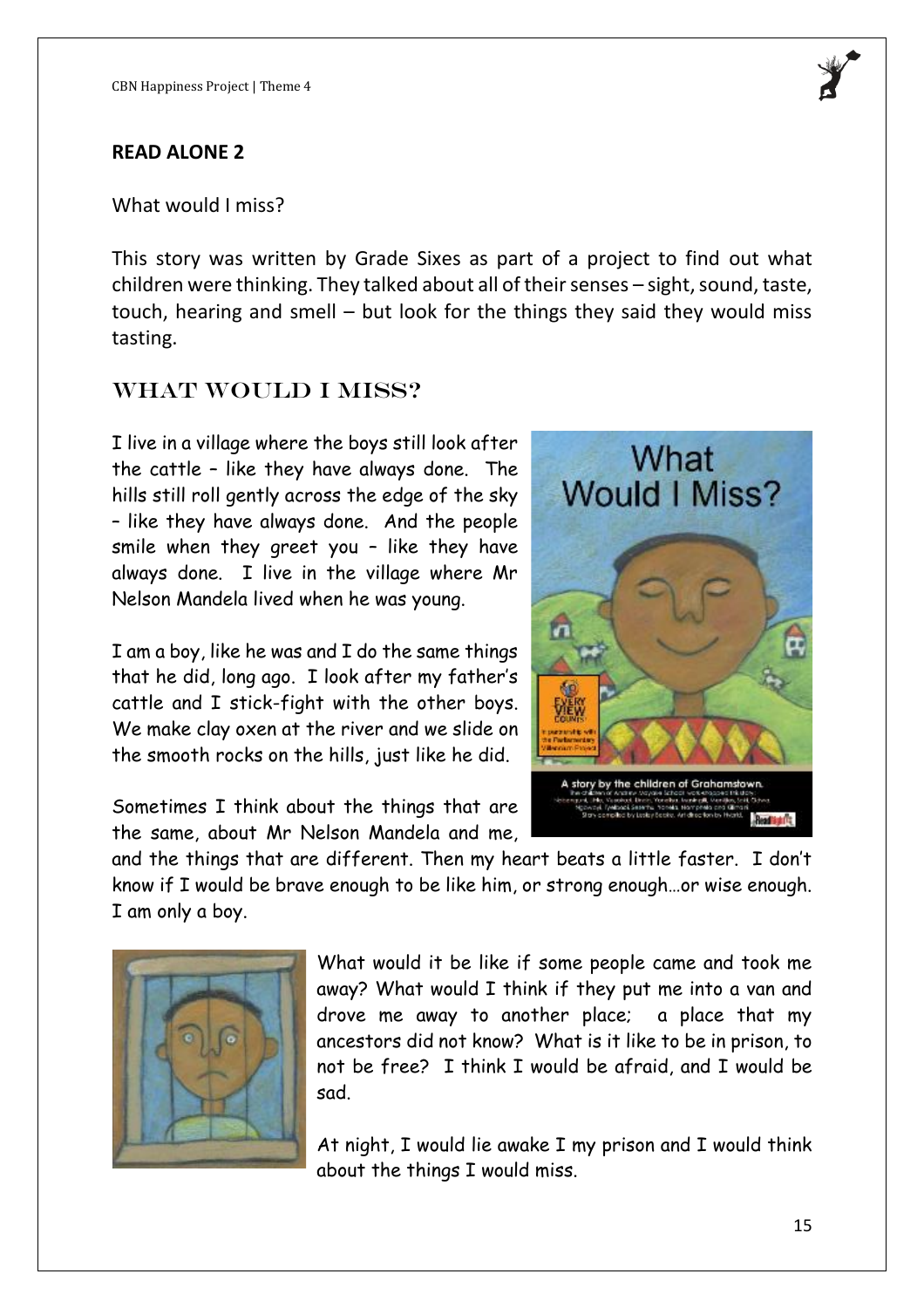#### **READ ALONE 2**

What would I miss?

This story was written by Grade Sixes as part of a project to find out what children were thinking. They talked about all of their senses – sight, sound, taste, touch, hearing and smell – but look for the things they said they would miss tasting.

## WHAT WOULD I MISS?

I live in a village where the boys still look after the cattle – like they have always done. The hills still roll gently across the edge of the sky – like they have always done. And the people smile when they greet you – like they have always done. I live in the village where Mr Nelson Mandela lived when he was young.

I am a boy, like he was and I do the same things that he did, long ago. I look after my father's cattle and I stick-fight with the other boys. We make clay oxen at the river and we slide on the smooth rocks on the hills, just like he did.

Sometimes I think about the things that are the same, about Mr Nelson Mandela and me,

and the things that are different. Then my heart beats a little faster. I don't know if I would be brave enough to be like him, or strong enough…or wise enough. I am only a boy.



What would it be like if some people came and took me away? What would I think if they put me into a van and drove me away to another place; a place that my ancestors did not know? What is it like to be in prison, to not be free? I think I would be afraid, and I would be sad.

At night, I would lie awake I my prison and I would think about the things I would miss.



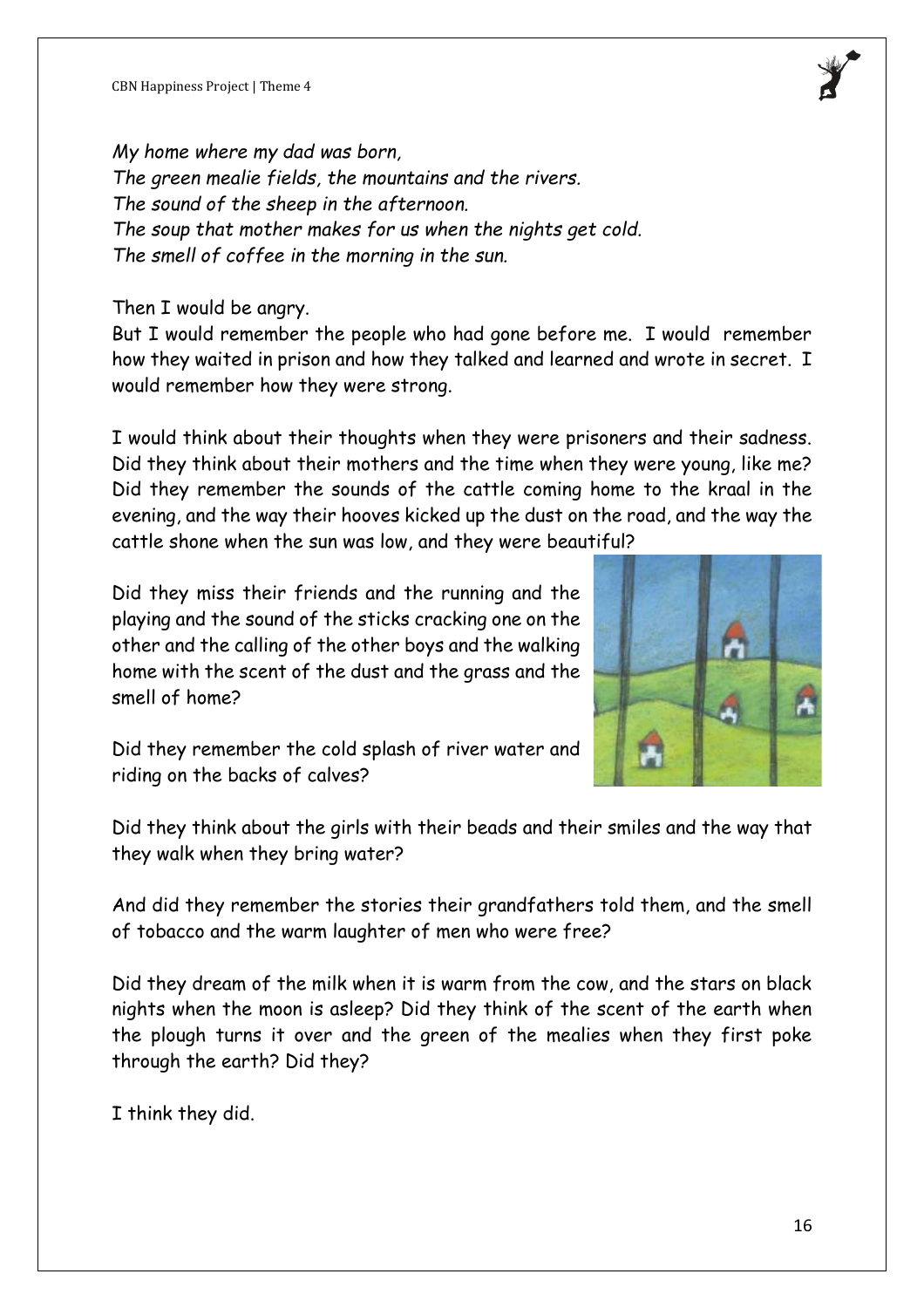*My home where my dad was born, The green mealie fields, the mountains and the rivers. The sound of the sheep in the afternoon. The soup that mother makes for us when the nights get cold. The smell of coffee in the morning in the sun.*

Then I would be angry.

But I would remember the people who had gone before me. I would remember how they waited in prison and how they talked and learned and wrote in secret. I would remember how they were strong.

I would think about their thoughts when they were prisoners and their sadness. Did they think about their mothers and the time when they were young, like me? Did they remember the sounds of the cattle coming home to the kraal in the evening, and the way their hooves kicked up the dust on the road, and the way the cattle shone when the sun was low, and they were beautiful?

Did they miss their friends and the running and the playing and the sound of the sticks cracking one on the other and the calling of the other boys and the walking home with the scent of the dust and the grass and the smell of home?



Did they remember the cold splash of river water and riding on the backs of calves?

Did they think about the girls with their beads and their smiles and the way that they walk when they bring water?

And did they remember the stories their grandfathers told them, and the smell of tobacco and the warm laughter of men who were free?

Did they dream of the milk when it is warm from the cow, and the stars on black nights when the moon is asleep? Did they think of the scent of the earth when the plough turns it over and the green of the mealies when they first poke through the earth? Did they?

I think they did.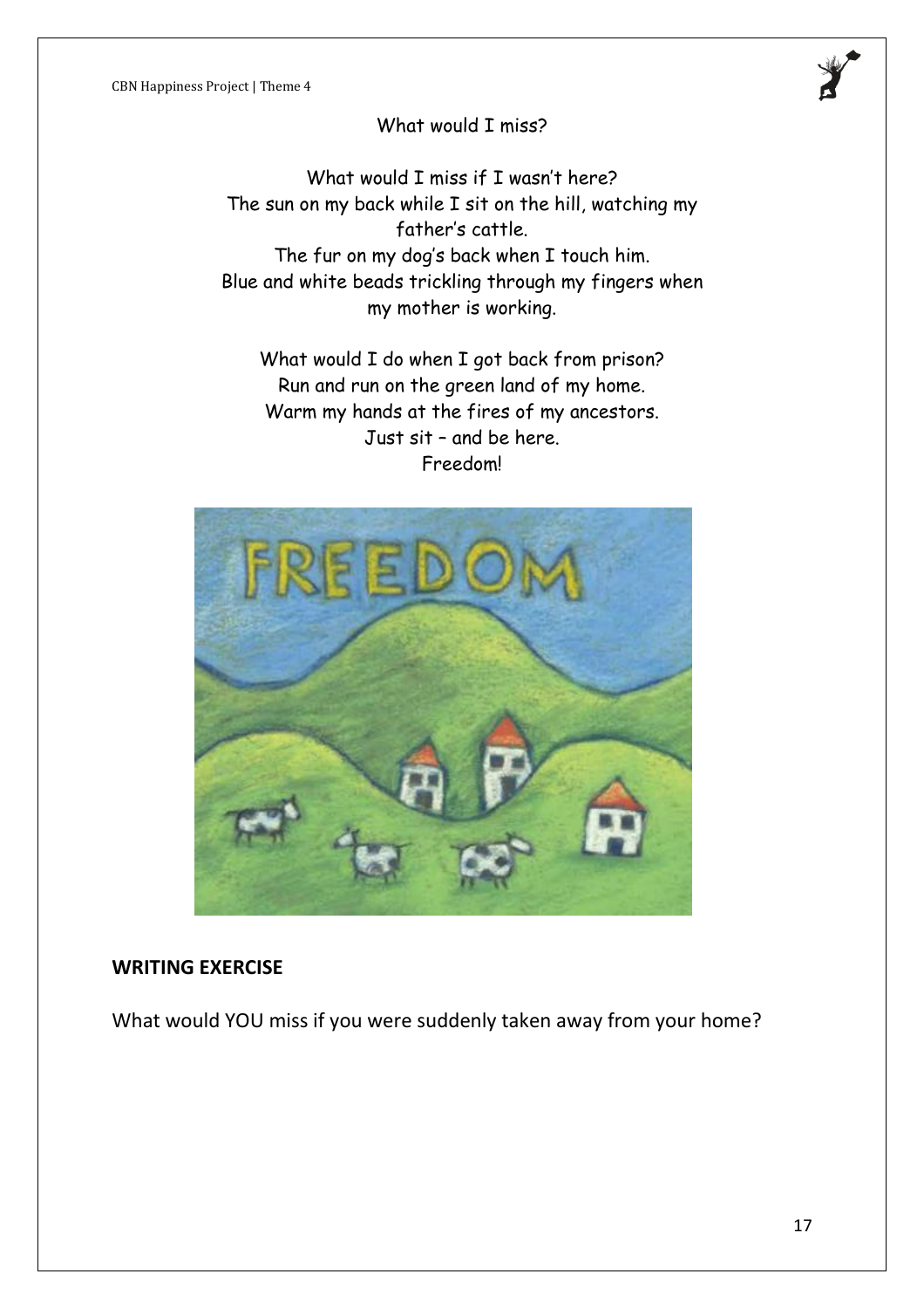

What would I miss if I wasn't here? The sun on my back while I sit on the hill, watching my father's cattle. The fur on my dog's back when I touch him. Blue and white beads trickling through my fingers when my mother is working.

What would I do when I got back from prison? Run and run on the green land of my home. Warm my hands at the fires of my ancestors. Just sit – and be here. Freedom!



#### **WRITING EXERCISE**

What would YOU miss if you were suddenly taken away from your home?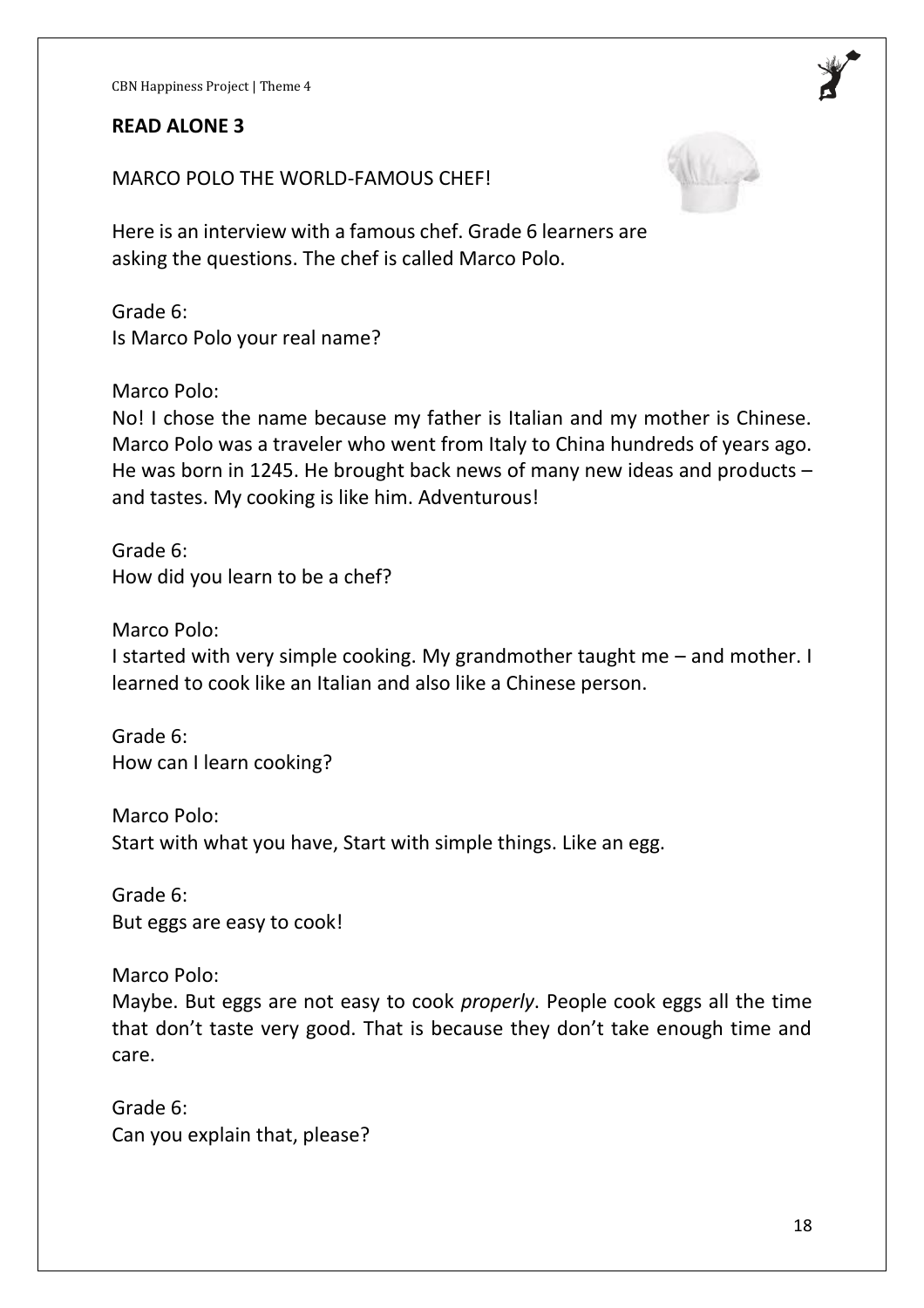#### **READ ALONE 3**

MARCO POLO THE WORLD-FAMOUS CHEF!

Here is an interview with a famous chef. Grade 6 learners are asking the questions. The chef is called Marco Polo.

Grade 6: Is Marco Polo your real name?

Marco Polo:

No! I chose the name because my father is Italian and my mother is Chinese. Marco Polo was a traveler who went from Italy to China hundreds of years ago. He was born in 1245. He brought back news of many new ideas and products – and tastes. My cooking is like him. Adventurous!

Grade 6: How did you learn to be a chef?

Marco Polo:

I started with very simple cooking. My grandmother taught me – and mother. I learned to cook like an Italian and also like a Chinese person.

Grade 6: How can I learn cooking?

Marco Polo: Start with what you have, Start with simple things. Like an egg.

Grade 6: But eggs are easy to cook!

Marco Polo: Maybe. But eggs are not easy to cook *properly*. People cook eggs all the time that don't taste very good. That is because they don't take enough time and care.

Grade 6: Can you explain that, please?



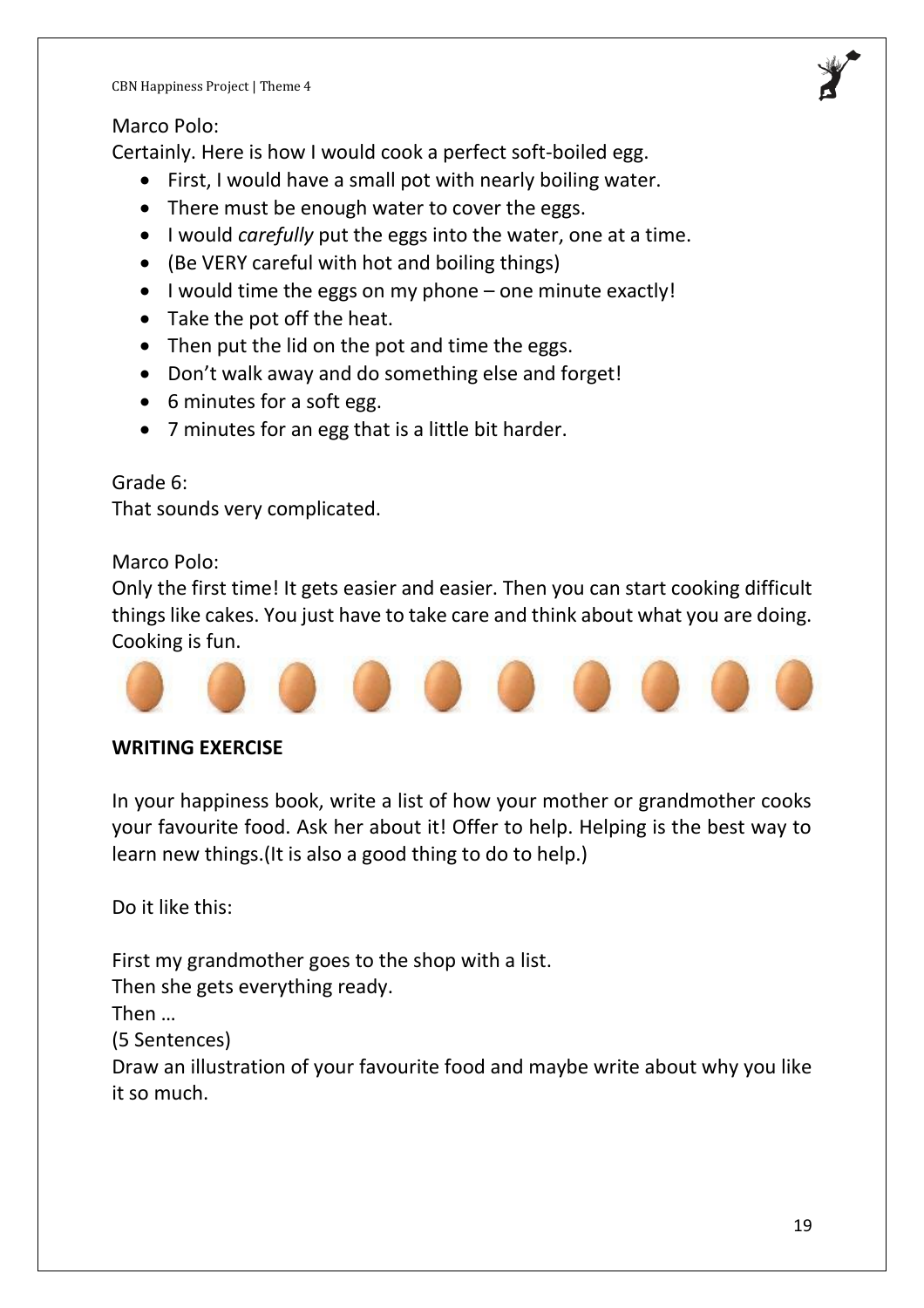## Marco Polo:

Certainly. Here is how I would cook a perfect soft-boiled egg.

- First, I would have a small pot with nearly boiling water.
- There must be enough water to cover the eggs.
- I would *carefully* put the eggs into the water, one at a time.
- (Be VERY careful with hot and boiling things)
- I would time the eggs on my phone one minute exactly!
- Take the pot off the heat.
- Then put the lid on the pot and time the eggs.
- Don't walk away and do something else and forget!
- 6 minutes for a soft egg.
- 7 minutes for an egg that is a little bit harder.

Grade 6:

That sounds very complicated.

Marco Polo:

Only the first time! It gets easier and easier. Then you can start cooking difficult things like cakes. You just have to take care and think about what you are doing. Cooking is fun.



## **WRITING EXERCISE**

In your happiness book, write a list of how your mother or grandmother cooks your favourite food. Ask her about it! Offer to help. Helping is the best way to learn new things.(It is also a good thing to do to help.)

Do it like this:

First my grandmother goes to the shop with a list.

Then she gets everything ready.

Then …

(5 Sentences)

Draw an illustration of your favourite food and maybe write about why you like it so much.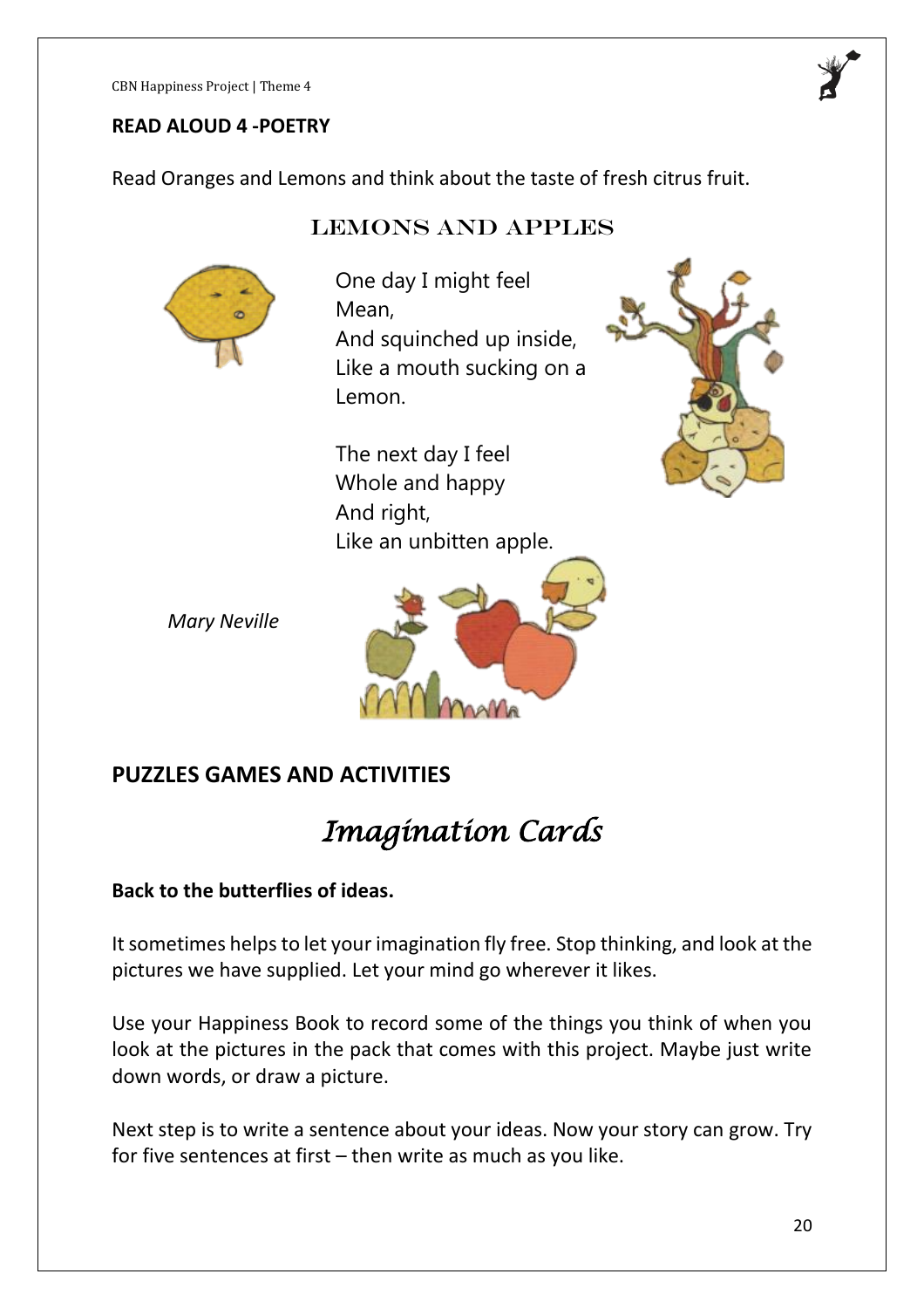#### **READ ALOUD 4 -POETRY**

Read Oranges and Lemons and think about the taste of fresh citrus fruit.

## Lemons and apples



One day I might feel Mean, And squinched up inside, Like a mouth sucking on a Lemon.

The next day I feel Whole and happy And right, Like an unbitten apple.





## **PUZZLES GAMES AND ACTIVITIES**

# *Imagination Cards*

#### **Back to the butterflies of ideas.**

It sometimes helps to let your imagination fly free. Stop thinking, and look at the pictures we have supplied. Let your mind go wherever it likes.

Use your Happiness Book to record some of the things you think of when you look at the pictures in the pack that comes with this project. Maybe just write down words, or draw a picture.

Next step is to write a sentence about your ideas. Now your story can grow. Try for five sentences at first – then write as much as you like.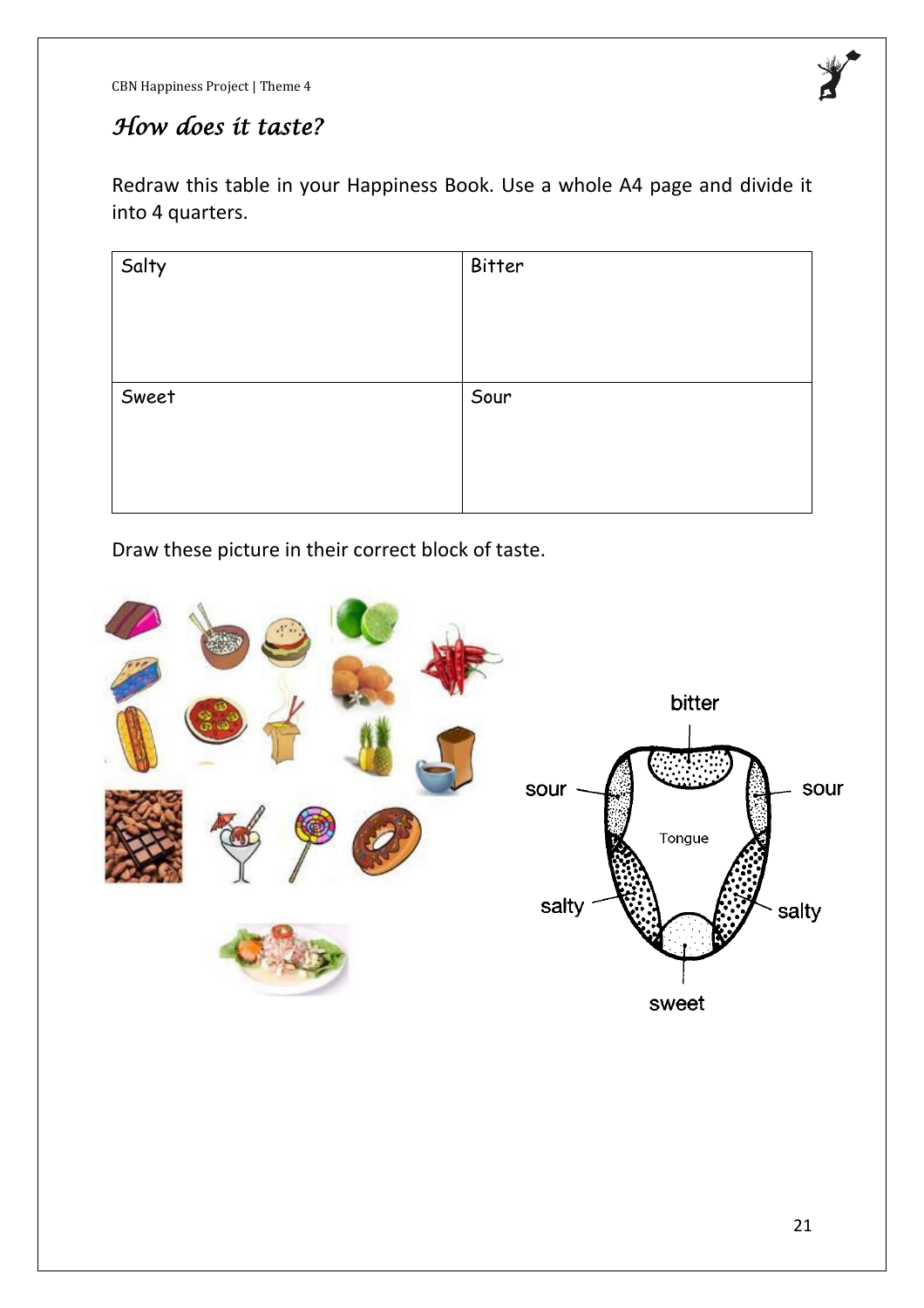

# *How does it taste?*

Redraw this table in your Happiness Book. Use a whole A4 page and divide it into 4 quarters.

| Salty | Bitter |
|-------|--------|
|       |        |
|       |        |
|       |        |
| Sweet | Sour   |
|       |        |
|       |        |
|       |        |

Draw these picture in their correct block of taste.